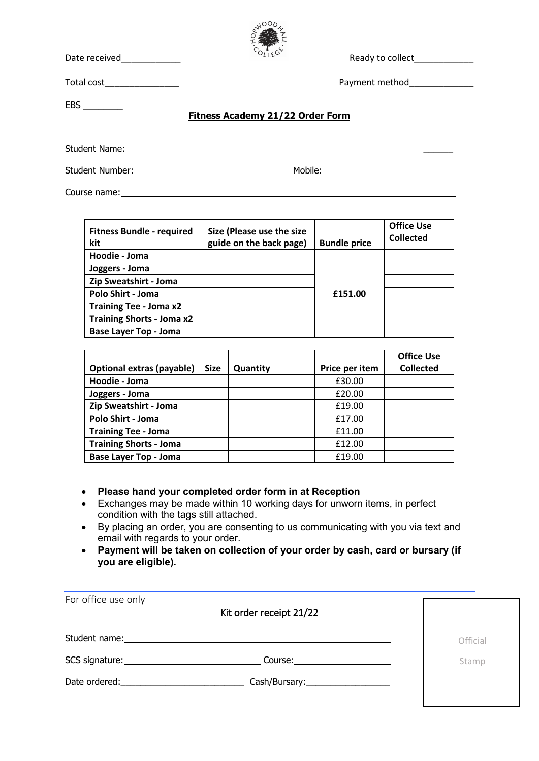

Date received  $D_{\text{LLE}}$  received

Total cost\_\_\_\_\_\_\_\_\_\_\_\_\_\_\_ Payment method\_\_\_\_\_\_\_\_\_\_\_\_\_

EBS \_\_\_\_\_\_\_\_

## **Fitness Academy 21/22 Order Form**

Student Name: \_\_\_\_\_\_

Student Number: Nobile: Mobile: Mobile: Mobile: Mobile: Mobile: Mobile: Mobile: Mobile: Mobile: Mobile: Mobile: Mobile: Mobile: Mobile: Mobile: Mobile: Mobile: Mobile: Mobile: Mobile: Mobile: Mobile: Mobile: Mobile: Mobile

Course name: Letter and the set of the set of the set of the set of the set of the set of the set of the set of the set of the set of the set of the set of the set of the set of the set of the set of the set of the set of

| <b>Fitness Bundle - required</b><br>kit | Size (Please use the size<br>guide on the back page) | <b>Bundle price</b> | <b>Office Use</b><br><b>Collected</b> |
|-----------------------------------------|------------------------------------------------------|---------------------|---------------------------------------|
| Hoodie - Joma                           |                                                      |                     |                                       |
| Joggers - Joma                          |                                                      |                     |                                       |
| Zip Sweatshirt - Joma                   |                                                      |                     |                                       |
| Polo Shirt - Joma                       |                                                      | £151.00             |                                       |
| <b>Training Tee - Joma x2</b>           |                                                      |                     |                                       |
| <b>Training Shorts - Joma x2</b>        |                                                      |                     |                                       |
| <b>Base Layer Top - Joma</b>            |                                                      |                     |                                       |

|                               |             |          |                | <b>Office Use</b> |
|-------------------------------|-------------|----------|----------------|-------------------|
| Optional extras (payable)     | <b>Size</b> | Quantity | Price per item | <b>Collected</b>  |
| Hoodie - Joma                 |             |          | £30.00         |                   |
| Joggers - Joma                |             |          | £20.00         |                   |
| Zip Sweatshirt - Joma         |             |          | £19.00         |                   |
| Polo Shirt - Joma             |             |          | £17.00         |                   |
| <b>Training Tee - Joma</b>    |             |          | £11.00         |                   |
| <b>Training Shorts - Joma</b> |             |          | £12.00         |                   |
| <b>Base Layer Top - Joma</b>  |             |          | £19.00         |                   |

## • **Please hand your completed order form in at Reception**

- Exchanges may be made within 10 working days for unworn items, in perfect condition with the tags still attached.
- By placing an order, you are consenting to us communicating with you via text and email with regards to your order.
- **Payment will be taken on collection of your order by cash, card or bursary (if you are eligible).**

| For office use only<br>Kit order receipt 21/22                                                                                                                                                                                                                 |          |
|----------------------------------------------------------------------------------------------------------------------------------------------------------------------------------------------------------------------------------------------------------------|----------|
| Student name:<br><u> 1989 - John Stein, Amerikaansk politiker († 1989)</u>                                                                                                                                                                                     | Official |
| SCS signature: Note and the set of the set of the set of the set of the set of the set of the set of the set of the set of the set of the set of the set of the set of the set of the set of the set of the set of the set of<br>Course: _____________________ | Stamp    |
| Date ordered:<br>Cash/Bursary:____________________                                                                                                                                                                                                             |          |